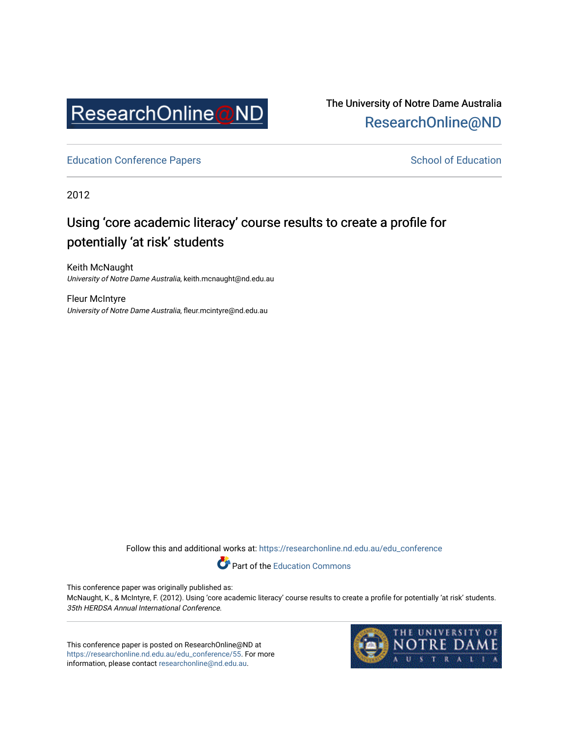

The University of Notre Dame Australia [ResearchOnline@ND](https://researchonline.nd.edu.au/) 

[Education Conference Papers](https://researchonline.nd.edu.au/edu_conference) **School of Education** School of Education

2012

# Using 'core academic literacy' course results to create a profile for potentially 'at risk' students

Keith McNaught University of Notre Dame Australia, keith.mcnaught@nd.edu.au

Fleur McIntyre University of Notre Dame Australia, fleur.mcintyre@nd.edu.au

Follow this and additional works at: [https://researchonline.nd.edu.au/edu\\_conference](https://researchonline.nd.edu.au/edu_conference?utm_source=researchonline.nd.edu.au%2Fedu_conference%2F55&utm_medium=PDF&utm_campaign=PDFCoverPages)

Part of the [Education Commons](http://network.bepress.com/hgg/discipline/784?utm_source=researchonline.nd.edu.au%2Fedu_conference%2F55&utm_medium=PDF&utm_campaign=PDFCoverPages) 

This conference paper was originally published as:

McNaught, K., & McIntyre, F. (2012). Using 'core academic literacy' course results to create a profile for potentially 'at risk' students. 35th HERDSA Annual International Conference.

This conference paper is posted on ResearchOnline@ND at [https://researchonline.nd.edu.au/edu\\_conference/55.](https://researchonline.nd.edu.au/edu_conference/55) For more information, please contact [researchonline@nd.edu.au.](mailto:researchonline@nd.edu.au)

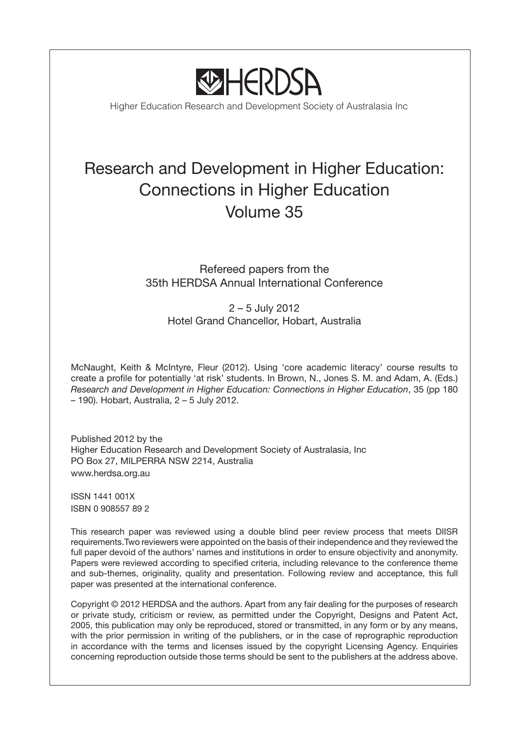

Higher Education Research and Development Society of Australasia Inc

# Research and Development in Higher Education: Connections in Higher Education Volume 35

# Refereed papers from the 35th HERDSA Annual International Conference

2 – 5 July 2012 Hotel Grand Chancellor, Hobart, Australia

McNaught, Keith & McIntyre, Fleur (2012). Using 'core academic literacy' course results to create a profile for potentially 'at risk' students. In Brown, N., Jones S. M. and Adam, A. (Eds.) *Research and Development in Higher Education: Connections in Higher Education*, 35 (pp 180 – 190). Hobart, Australia, 2 – 5 July 2012.

Published 2012 by the Higher Education Research and Development Society of Australasia, Inc PO Box 27, MILPERRA NSW 2214, Australia www.herdsa.org.au

ISSN 1441 001X ISBN 0 908557 89 2

This research paper was reviewed using a double blind peer review process that meets DIISR requirements.Two reviewers were appointed on the basis of their independence and they reviewed the full paper devoid of the authors' names and institutions in order to ensure objectivity and anonymity. Papers were reviewed according to specified criteria, including relevance to the conference theme and sub-themes, originality, quality and presentation. Following review and acceptance, this full paper was presented at the international conference.

Copyright © 2012 HERDSA and the authors. Apart from any fair dealing for the purposes of research or private study, criticism or review, as permitted under the Copyright, Designs and Patent Act, 2005, this publication may only be reproduced, stored or transmitted, in any form or by any means, with the prior permission in writing of the publishers, or in the case of reprographic reproduction in accordance with the terms and licenses issued by the copyright Licensing Agency. Enquiries concerning reproduction outside those terms should be sent to the publishers at the address above.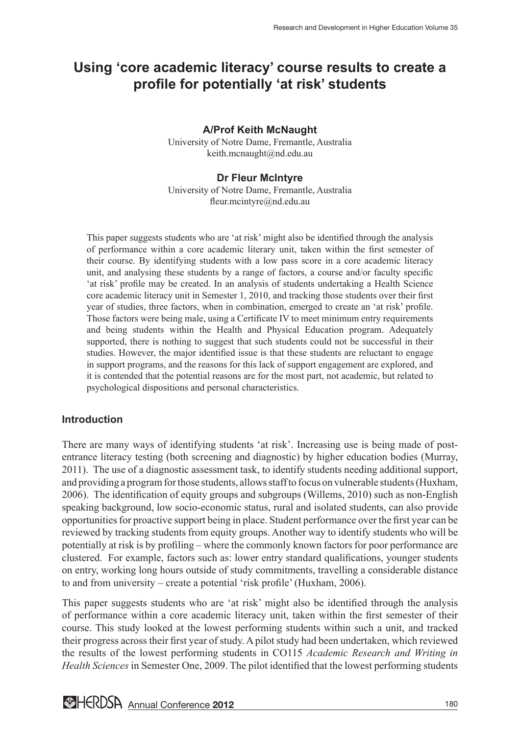# **Using 'core academic literacy' course results to create a profile for potentially 'at risk' students**

# **A/Prof Keith McNaught**

University of Notre Dame, Fremantle, Australia keith.mcnaught@nd.edu.au

#### **Dr Fleur McIntyre**

University of Notre Dame, Fremantle, Australia fleur.mcintyre@nd.edu.au

This paper suggests students who are 'at risk' might also be identified through the analysis of performance within a core academic literary unit, taken within the first semester of their course. By identifying students with a low pass score in a core academic literacy unit, and analysing these students by a range of factors, a course and/or faculty specific 'at risk' profile may be created. In an analysis of students undertaking a Health Science core academic literacy unit in Semester 1, 2010, and tracking those students over their first year of studies, three factors, when in combination, emerged to create an 'at risk' profile. Those factors were being male, using a Certificate IV to meet minimum entry requirements and being students within the Health and Physical Education program. Adequately supported, there is nothing to suggest that such students could not be successful in their studies. However, the major identified issue is that these students are reluctant to engage in support programs, and the reasons for this lack of support engagement are explored, and it is contended that the potential reasons are for the most part, not academic, but related to psychological dispositions and personal characteristics.

# **Introduction**

There are many ways of identifying students 'at risk'. Increasing use is being made of postentrance literacy testing (both screening and diagnostic) by higher education bodies (Murray, 2011). The use of a diagnostic assessment task, to identify students needing additional support, and providing a program for those students, allows staff to focus on vulnerable students (Huxham, 2006). The identification of equity groups and subgroups (Willems, 2010) such as non-English speaking background, low socio-economic status, rural and isolated students, can also provide opportunities for proactive support being in place. Student performance over the first year can be reviewed by tracking students from equity groups. Another way to identify students who will be potentially at risk is by profiling – where the commonly known factors for poor performance are clustered. For example, factors such as: lower entry standard qualifications, younger students on entry, working long hours outside of study commitments, travelling a considerable distance to and from university – create a potential 'risk profile' (Huxham, 2006).

This paper suggests students who are 'at risk' might also be identified through the analysis of performance within a core academic literacy unit, taken within the first semester of their course. This study looked at the lowest performing students within such a unit, and tracked their progress across their first year of study. A pilot study had been undertaken, which reviewed the results of the lowest performing students in CO115 *Academic Research and Writing in Health Sciences* in Semester One, 2009. The pilot identified that the lowest performing students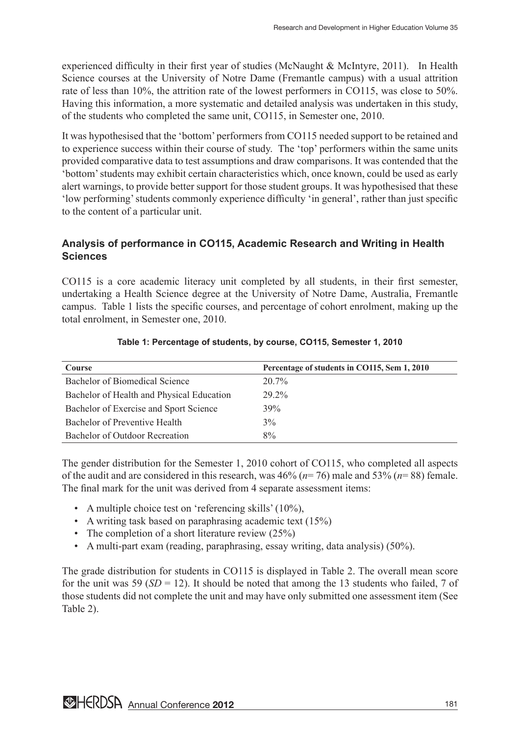experienced difficulty in their first year of studies (McNaught & McIntyre, 2011). In Health Science courses at the University of Notre Dame (Fremantle campus) with a usual attrition rate of less than 10%, the attrition rate of the lowest performers in CO115, was close to 50%. Having this information, a more systematic and detailed analysis was undertaken in this study, of the students who completed the same unit, CO115, in Semester one, 2010.

It was hypothesised that the 'bottom' performers from CO115 needed support to be retained and to experience success within their course of study. The 'top' performers within the same units provided comparative data to test assumptions and draw comparisons. It was contended that the 'bottom' students may exhibit certain characteristics which, once known, could be used as early alert warnings, to provide better support for those student groups. It was hypothesised that these 'low performing' students commonly experience difficulty 'in general', rather than just specific to the content of a particular unit.

# **Analysis of performance in CO115, Academic Research and Writing in Health Sciences**

CO115 is a core academic literacy unit completed by all students, in their first semester, undertaking a Health Science degree at the University of Notre Dame, Australia, Fremantle campus. Table 1 lists the specific courses, and percentage of cohort enrolment, making up the total enrolment, in Semester one, 2010.

| <b>Course</b>                             | Percentage of students in CO115, Sem 1, 2010 |
|-------------------------------------------|----------------------------------------------|
| Bachelor of Biomedical Science            | $20.7\%$                                     |
| Bachelor of Health and Physical Education | 29 2%                                        |
| Bachelor of Exercise and Sport Science    | 39%                                          |
| Bachelor of Preventive Health             | $3\%$                                        |
| Bachelor of Outdoor Recreation            | $8\%$                                        |

### **Table 1: Percentage of students, by course, CO115, Semester 1, 2010**

The gender distribution for the Semester 1, 2010 cohort of CO115, who completed all aspects of the audit and are considered in this research, was 46% (*n*= 76) male and 53% (*n*= 88) female. The final mark for the unit was derived from 4 separate assessment items:

- A multiple choice test on 'referencing skills' (10%),
- A writing task based on paraphrasing academic text (15%)
- The completion of a short literature review (25%)
- A multi-part exam (reading, paraphrasing, essay writing, data analysis) (50%).

The grade distribution for students in CO115 is displayed in Table 2. The overall mean score for the unit was 59 ( $SD = 12$ ). It should be noted that among the 13 students who failed, 7 of those students did not complete the unit and may have only submitted one assessment item (See Table 2).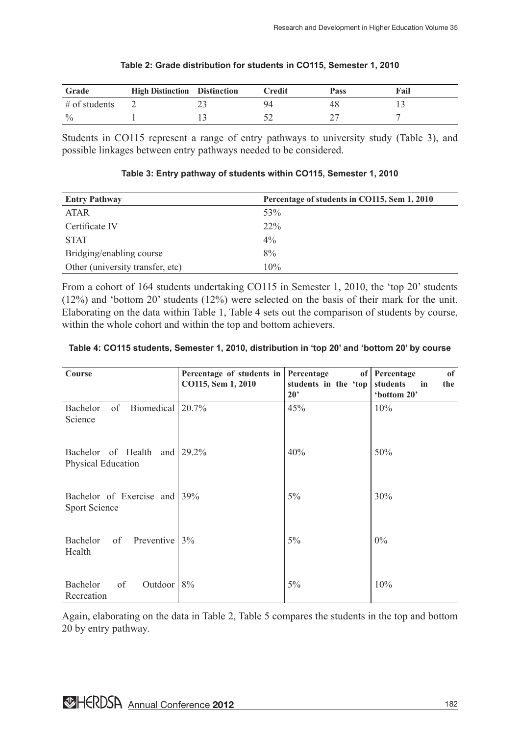| Grade           | <b>High Distinction</b> Distinction | Credit | Pass | Fail |
|-----------------|-------------------------------------|--------|------|------|
| $#$ of students |                                     |        | 48   |      |
| $\frac{0}{0}$   |                                     |        |      |      |

#### **Table 2: Grade distribution for students in CO115, Semester 1, 2010**

Students in CO115 represent a range of entry pathways to university study (Table 3), and possible linkages between entry pathways needed to be considered.

| <b>Entry Pathway</b>             | Percentage of students in CO115, Sem 1, 2010 |
|----------------------------------|----------------------------------------------|
| <b>ATAR</b>                      | 53%                                          |
| Certificate IV                   | $22\%$                                       |
| <b>STAT</b>                      | $4\%$                                        |
| Bridging/enabling course         | 8%                                           |
| Other (university transfer, etc) | 10%                                          |

#### **Table 3: Entry pathway of students within CO115, Semester 1, 2010**

From a cohort of 164 students undertaking CO115 in Semester 1, 2010, the 'top 20' students (12%) and 'bottom 20' students (12%) were selected on the basis of their mark for the unit. Elaborating on the data within Table 1, Table 4 sets out the comparison of students by course, within the whole cohort and within the top and bottom achievers.

| Course                                        | Percentage of students in<br>CO115, Sem 1, 2010 | Percentage<br>of<br>students in the 'top<br>$20^{\circ}$ | of<br>Percentage<br>students<br>in<br>the<br>'bottom 20' |
|-----------------------------------------------|-------------------------------------------------|----------------------------------------------------------|----------------------------------------------------------|
| of<br>Biomedical 20.7%<br>Bachelor<br>Science |                                                 | 45%                                                      | 10%                                                      |
| Bachelor of Health<br>Physical Education      | and $\sqrt{29.2\%}$                             | 40%                                                      | 50%                                                      |
| Bachelor of Exercise and 39%<br>Sport Science |                                                 | $5\%$                                                    | 30%                                                      |
| Bachelor<br>of<br>Preventive $ 3\%$<br>Health |                                                 | 5%                                                       | $0\%$                                                    |
| Outdoor<br>Bachelor<br>of<br>Recreation       | 8%                                              | 5%                                                       | 10%                                                      |

#### **Table 4: CO115 students, Semester 1, 2010, distribution in 'top 20' and 'bottom 20' by course**

Again, elaborating on the data in Table 2, Table 5 compares the students in the top and bottom 20 by entry pathway.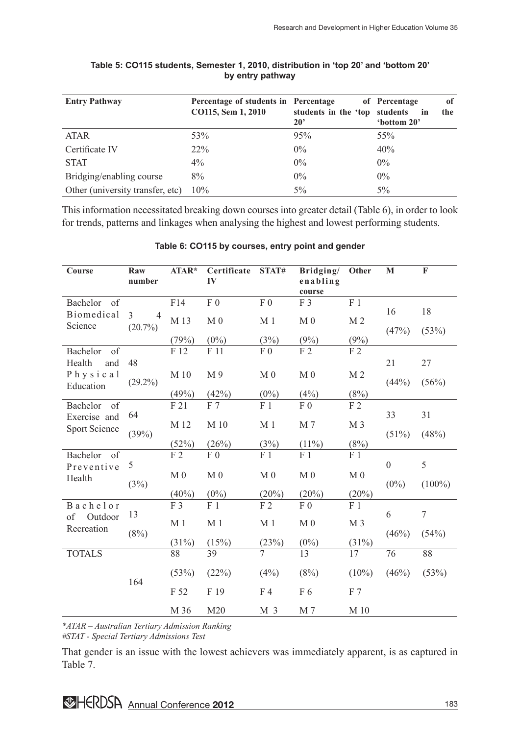| <b>Entry Pathway</b>             | Percentage of students in Percentage<br>CO115, Sem 1, 2010 | students in the 'top students<br>$20^{\circ}$ | of<br>of Percentage<br>the<br>in<br>'bottom 20' |
|----------------------------------|------------------------------------------------------------|-----------------------------------------------|-------------------------------------------------|
| <b>ATAR</b>                      | 53%                                                        | 95%                                           | 55%                                             |
| Certificate IV                   | $22\%$                                                     | $0\%$                                         | 40%                                             |
| <b>STAT</b>                      | $4\%$                                                      | $0\%$                                         | $0\%$                                           |
| Bridging/enabling course         | 8%                                                         | $0\%$                                         | $0\%$                                           |
| Other (university transfer, etc) | 10%                                                        | $5\%$                                         | $5\%$                                           |

#### **Table 5: CO115 students, Semester 1, 2010, distribution in 'top 20' and 'bottom 20' by entry pathway**

This information necessitated breaking down courses into greater detail (Table 6), in order to look for trends, patterns and linkages when analysing the highest and lowest performing students.

| Course                                | Raw<br>number       | ATAR*          | Certificate<br>IV | STAT#          | Bridging/<br>enabling<br>course | Other          | $\mathbf{M}$     | $\mathbf F$      |
|---------------------------------------|---------------------|----------------|-------------------|----------------|---------------------------------|----------------|------------------|------------------|
| of<br><b>Bachelor</b><br>Biomedical   | 3<br>$\overline{4}$ | F14            | ${\rm F}$ 0       | F <sub>0</sub> | F 3                             | F <sub>1</sub> | 16               | 18               |
| Science                               | $(20.7\%)$          | M 13           | M <sub>0</sub>    | M <sub>1</sub> | M <sub>0</sub>                  | M <sub>2</sub> | (47%)            | (53%)            |
|                                       |                     | (79%)          | $(0\%)$           | (3%)           | (9%)                            | (9%)           |                  |                  |
| of<br><b>Bachelor</b>                 |                     | F 12           | F 11              | F <sub>0</sub> | F <sub>2</sub>                  | F <sub>2</sub> |                  |                  |
| Health<br>and                         | 48                  |                |                   |                |                                 |                | 21               | 27               |
| Physical<br>Education                 | $(29.2\%)$          | M 10           | M9                | M <sub>0</sub> | M <sub>0</sub>                  | M <sub>2</sub> | (44%)            | (56%)            |
|                                       |                     | (49%)          | (42%)             | $(0\%)$        | (4%)                            | (8%)           |                  |                  |
| of<br><b>Bachelor</b><br>Exercise and | 64                  | F 21           | F 7               | F <sub>1</sub> | F <sub>0</sub>                  | F <sub>2</sub> | 33               | 31               |
| <b>Sport Science</b>                  | (39%)               | M 12           | M 10              | M <sub>1</sub> | M 7                             | M <sub>3</sub> | $(51\%)$         | (48%)            |
|                                       |                     | (52%)          | (26%)             | (3%)           | $(11\%)$                        | (8%)           |                  |                  |
| of<br><b>Bachelor</b><br>Preventive   | 5                   | F <sub>2</sub> | F <sub>0</sub>    | F <sub>1</sub> | F <sub>1</sub>                  | F <sub>1</sub> | $\boldsymbol{0}$ | 5                |
| Health                                |                     | M <sub>0</sub> | M <sub>0</sub>    | M <sub>0</sub> | M <sub>0</sub>                  | M <sub>0</sub> | $(0\%)$          | $(100\%)$        |
|                                       | (3%)                | $(40\%)$       | $(0\%)$           | (20%)          | (20%)                           | (20%)          |                  |                  |
| Bachelor<br>Outdoor<br>of             | 13                  | F 3            | F <sub>1</sub>    | F <sub>2</sub> | F <sub>0</sub>                  | F <sub>1</sub> | 6                | $\boldsymbol{7}$ |
| Recreation                            | (8%)                | M <sub>1</sub> | M <sub>1</sub>    | M <sub>1</sub> | M <sub>0</sub>                  | M <sub>3</sub> | (46%)            | (54%)            |
|                                       |                     | (31%)          | (15%)             | (23%)          | $(0\%)$                         | (31%)          |                  |                  |
| <b>TOTALS</b>                         |                     | 88             | 39                | 7              | 13                              | 17             | 76               | 88               |
|                                       | 164                 | (53%)          | (22%)             | (4%)           | (8%)                            | $(10\%)$       | (46%)            | (53%)            |
|                                       |                     | F 52           | F 19              | F <sub>4</sub> | F 6                             | F 7            |                  |                  |
|                                       |                     | M 36           | M20               | M <sub>3</sub> | M 7                             | M 10           |                  |                  |

#### **Table 6: CO115 by courses, entry point and gender**

*\*ATAR – Australian Tertiary Admission Ranking*

*#STAT - Special Tertiary Admissions Test*

That gender is an issue with the lowest achievers was immediately apparent, is as captured in Table 7.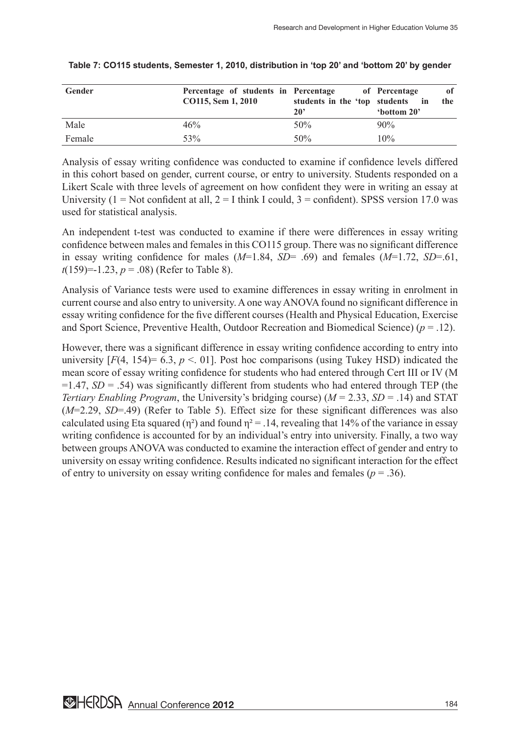| Gender | Percentage of students in Percentage |                               | of Percentage<br>0f  |
|--------|--------------------------------------|-------------------------------|----------------------|
|        | CO115, Sem 1, 2010                   | students in the 'top students | $\mathbf{in}$<br>the |
|        |                                      | $20^{\circ}$                  | 'bottom 20'          |
| Male   | 46%                                  | 50%                           | 90%                  |
| Female | 53\%                                 | 50%                           | 10%                  |

#### **Table 7: CO115 students, Semester 1, 2010, distribution in 'top 20' and 'bottom 20' by gender**

Analysis of essay writing confidence was conducted to examine if confidence levels differed in this cohort based on gender, current course, or entry to university. Students responded on a Likert Scale with three levels of agreement on how confident they were in writing an essay at University ( $1 = Not$  confident at all,  $2 = I$  think I could,  $3 =$  confident). SPSS version 17.0 was used for statistical analysis.

An independent t-test was conducted to examine if there were differences in essay writing confidence between males and females in this CO115 group. There was no significant difference in essay writing confidence for males (*M*=1.84, *SD*= .69) and females (*M*=1.72, *SD*=.61, *t*(159)=-1.23, *p* = .08) (Refer to Table 8).

Analysis of Variance tests were used to examine differences in essay writing in enrolment in current course and also entry to university. A one way ANOVA found no significant difference in essay writing confidence for the five different courses (Health and Physical Education, Exercise and Sport Science, Preventive Health, Outdoor Recreation and Biomedical Science) (*p* = .12).

However, there was a significant difference in essay writing confidence according to entry into university  $[F(4, 154) = 6.3, p < 01]$ . Post hoc comparisons (using Tukey HSD) indicated the mean score of essay writing confidence for students who had entered through Cert III or IV (M  $=1.47$ , *SD* = .54) was significantly different from students who had entered through TEP (the *Tertiary Enabling Program*, the University's bridging course) (*M* = 2.33, *SD* = .14) and STAT (*M*=2.29, *SD*=.49) (Refer to Table 5). Effect size for these significant differences was also calculated using Eta squared ( $\eta^2$ ) and found  $\eta^2 = 0.14$ , revealing that 14% of the variance in essay writing confidence is accounted for by an individual's entry into university. Finally, a two way between groups ANOVA was conducted to examine the interaction effect of gender and entry to university on essay writing confidence. Results indicated no significant interaction for the effect of entry to university on essay writing confidence for males and females ( $p = .36$ ).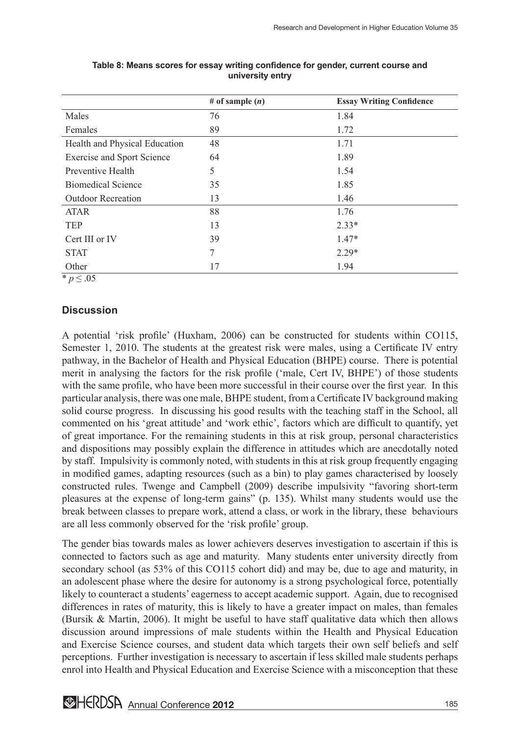|                                   | # of sample $(n)$ | <b>Essay Writing Confidence</b> |
|-----------------------------------|-------------------|---------------------------------|
| Males                             | 76                | 1.84                            |
| Females                           | 89                | 1.72                            |
| Health and Physical Education     | 48                | 1.71                            |
| <b>Exercise and Sport Science</b> | 64                | 1.89                            |
| Preventive Health                 | 5                 | 1.54                            |
| <b>Biomedical Science</b>         | 35                | 1.85                            |
| <b>Outdoor Recreation</b>         | 13                | 1.46                            |
| <b>ATAR</b>                       | 88                | 1.76                            |
| <b>TEP</b>                        | 13                | $2.33*$                         |
| Cert III or IV                    | 39                | $1.47*$                         |
| <b>STAT</b>                       | 7                 | $2.29*$                         |
| Other                             | 17                | 1.94                            |
| $*$ <i>p</i> ≤ .05                |                   |                                 |

#### **Table 8: Means scores for essay writing confidence for gender, current course and university entry**

**Discussion**

A potential 'risk profile' (Huxham, 2006) can be constructed for students within CO115, Semester 1, 2010. The students at the greatest risk were males, using a Certificate IV entry pathway, in the Bachelor of Health and Physical Education (BHPE) course. There is potential merit in analysing the factors for the risk profile ('male, Cert IV, BHPE') of those students with the same profile, who have been more successful in their course over the first year. In this particular analysis, there was one male, BHPE student, from a Certificate IV background making solid course progress. In discussing his good results with the teaching staff in the School, all commented on his 'great attitude' and 'work ethic', factors which are difficult to quantify, yet of great importance. For the remaining students in this at risk group, personal characteristics and dispositions may possibly explain the difference in attitudes which are anecdotally noted by staff. Impulsivity is commonly noted, with students in this at risk group frequently engaging in modified games, adapting resources (such as a bin) to play games characterised by loosely constructed rules. Twenge and Campbell (2009) describe impulsivity "favoring short-term pleasures at the expense of long-term gains" (p. 135). Whilst many students would use the break between classes to prepare work, attend a class, or work in the library, these behaviours are all less commonly observed for the 'risk profile' group.

The gender bias towards males as lower achievers deserves investigation to ascertain if this is connected to factors such as age and maturity. Many students enter university directly from secondary school (as 53% of this CO115 cohort did) and may be, due to age and maturity, in an adolescent phase where the desire for autonomy is a strong psychological force, potentially likely to counteract a students' eagerness to accept academic support. Again, due to recognised differences in rates of maturity, this is likely to have a greater impact on males, than females (Bursik & Martin, 2006). It might be useful to have staff qualitative data which then allows discussion around impressions of male students within the Health and Physical Education and Exercise Science courses, and student data which targets their own self beliefs and self perceptions. Further investigation is necessary to ascertain if less skilled male students perhaps enrol into Health and Physical Education and Exercise Science with a misconception that these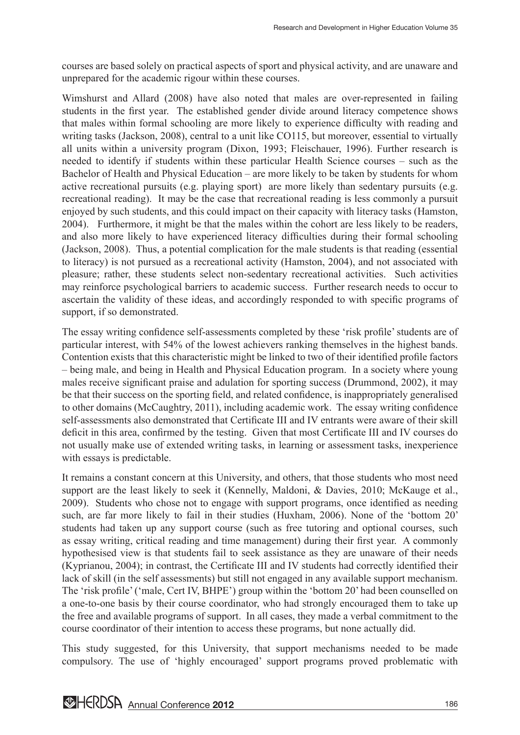courses are based solely on practical aspects of sport and physical activity, and are unaware and unprepared for the academic rigour within these courses.

Wimshurst and Allard (2008) have also noted that males are over-represented in failing students in the first year. The established gender divide around literacy competence shows that males within formal schooling are more likely to experience difficulty with reading and writing tasks (Jackson, 2008), central to a unit like CO115, but moreover, essential to virtually all units within a university program (Dixon, 1993; Fleischauer, 1996). Further research is needed to identify if students within these particular Health Science courses – such as the Bachelor of Health and Physical Education – are more likely to be taken by students for whom active recreational pursuits (e.g. playing sport) are more likely than sedentary pursuits (e.g. recreational reading). It may be the case that recreational reading is less commonly a pursuit enjoyed by such students, and this could impact on their capacity with literacy tasks (Hamston, 2004). Furthermore, it might be that the males within the cohort are less likely to be readers, and also more likely to have experienced literacy difficulties during their formal schooling (Jackson, 2008). Thus, a potential complication for the male students is that reading (essential to literacy) is not pursued as a recreational activity (Hamston, 2004), and not associated with pleasure; rather, these students select non-sedentary recreational activities. Such activities may reinforce psychological barriers to academic success. Further research needs to occur to ascertain the validity of these ideas, and accordingly responded to with specific programs of support, if so demonstrated.

The essay writing confidence self-assessments completed by these 'risk profile' students are of particular interest, with 54% of the lowest achievers ranking themselves in the highest bands. Contention exists that this characteristic might be linked to two of their identified profile factors – being male, and being in Health and Physical Education program. In a society where young males receive significant praise and adulation for sporting success (Drummond, 2002), it may be that their success on the sporting field, and related confidence, is inappropriately generalised to other domains (McCaughtry, 2011), including academic work. The essay writing confidence self-assessments also demonstrated that Certificate III and IV entrants were aware of their skill deficit in this area, confirmed by the testing. Given that most Certificate III and IV courses do not usually make use of extended writing tasks, in learning or assessment tasks, inexperience with essays is predictable.

It remains a constant concern at this University, and others, that those students who most need support are the least likely to seek it (Kennelly, Maldoni, & Davies, 2010; McKauge et al., 2009). Students who chose not to engage with support programs, once identified as needing such, are far more likely to fail in their studies (Huxham, 2006). None of the 'bottom 20' students had taken up any support course (such as free tutoring and optional courses, such as essay writing, critical reading and time management) during their first year. A commonly hypothesised view is that students fail to seek assistance as they are unaware of their needs (Kyprianou, 2004); in contrast, the Certificate III and IV students had correctly identified their lack of skill (in the self assessments) but still not engaged in any available support mechanism. The 'risk profile' ('male, Cert IV, BHPE') group within the 'bottom 20' had been counselled on a one-to-one basis by their course coordinator, who had strongly encouraged them to take up the free and available programs of support. In all cases, they made a verbal commitment to the course coordinator of their intention to access these programs, but none actually did.

This study suggested, for this University, that support mechanisms needed to be made compulsory. The use of 'highly encouraged' support programs proved problematic with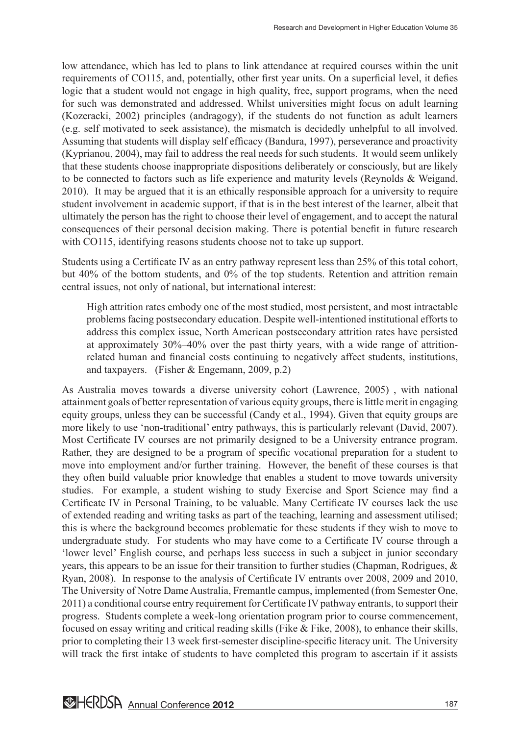low attendance, which has led to plans to link attendance at required courses within the unit requirements of CO115, and, potentially, other first year units. On a superficial level, it defies logic that a student would not engage in high quality, free, support programs, when the need for such was demonstrated and addressed. Whilst universities might focus on adult learning (Kozeracki, 2002) principles (andragogy), if the students do not function as adult learners (e.g. self motivated to seek assistance), the mismatch is decidedly unhelpful to all involved. Assuming that students will display self efficacy (Bandura, 1997), perseverance and proactivity (Kyprianou, 2004), may fail to address the real needs for such students. It would seem unlikely that these students choose inappropriate dispositions deliberately or consciously, but are likely to be connected to factors such as life experience and maturity levels (Reynolds & Weigand, 2010). It may be argued that it is an ethically responsible approach for a university to require student involvement in academic support, if that is in the best interest of the learner, albeit that ultimately the person has the right to choose their level of engagement, and to accept the natural consequences of their personal decision making. There is potential benefit in future research with CO115, identifying reasons students choose not to take up support.

Students using a Certificate IV as an entry pathway represent less than 25% of this total cohort, but 40% of the bottom students, and 0% of the top students. Retention and attrition remain central issues, not only of national, but international interest:

High attrition rates embody one of the most studied, most persistent, and most intractable problems facing postsecondary education. Despite well-intentioned institutional efforts to address this complex issue, North American postsecondary attrition rates have persisted at approximately 30%–40% over the past thirty years, with a wide range of attritionrelated human and financial costs continuing to negatively affect students, institutions, and taxpayers. (Fisher & Engemann, 2009, p.2)

As Australia moves towards a diverse university cohort (Lawrence, 2005) , with national attainment goals of better representation of various equity groups, there is little merit in engaging equity groups, unless they can be successful (Candy et al., 1994). Given that equity groups are more likely to use 'non-traditional' entry pathways, this is particularly relevant (David, 2007). Most Certificate IV courses are not primarily designed to be a University entrance program. Rather, they are designed to be a program of specific vocational preparation for a student to move into employment and/or further training. However, the benefit of these courses is that they often build valuable prior knowledge that enables a student to move towards university studies. For example, a student wishing to study Exercise and Sport Science may find a Certificate IV in Personal Training, to be valuable. Many Certificate IV courses lack the use of extended reading and writing tasks as part of the teaching, learning and assessment utilised; this is where the background becomes problematic for these students if they wish to move to undergraduate study. For students who may have come to a Certificate IV course through a 'lower level' English course, and perhaps less success in such a subject in junior secondary years, this appears to be an issue for their transition to further studies (Chapman, Rodrigues, & Ryan, 2008). In response to the analysis of Certificate IV entrants over 2008, 2009 and 2010, The University of Notre Dame Australia, Fremantle campus, implemented (from Semester One, 2011) a conditional course entry requirement for Certificate IV pathway entrants, to support their progress. Students complete a week-long orientation program prior to course commencement, focused on essay writing and critical reading skills (Fike & Fike, 2008), to enhance their skills, prior to completing their 13 week first-semester discipline-specific literacy unit. The University will track the first intake of students to have completed this program to ascertain if it assists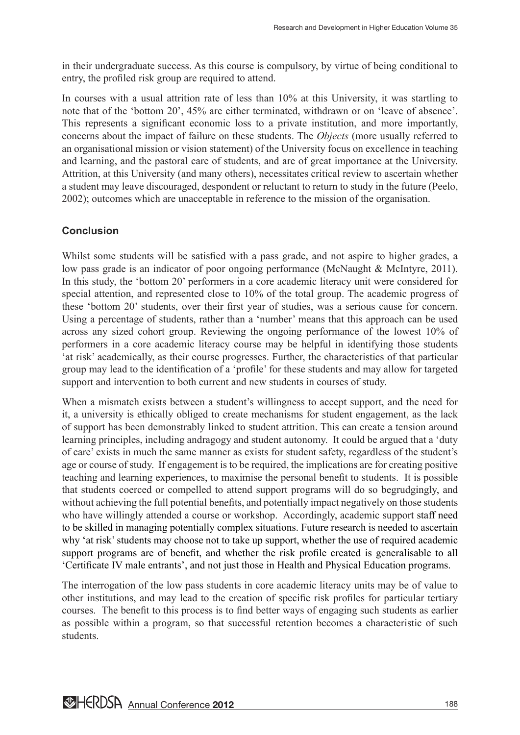in their undergraduate success. As this course is compulsory, by virtue of being conditional to entry, the profiled risk group are required to attend.

In courses with a usual attrition rate of less than 10% at this University, it was startling to note that of the 'bottom 20', 45% are either terminated, withdrawn or on 'leave of absence'. This represents a significant economic loss to a private institution, and more importantly, concerns about the impact of failure on these students. The *Objects* (more usually referred to an organisational mission or vision statement) of the University focus on excellence in teaching and learning, and the pastoral care of students, and are of great importance at the University. Attrition, at this University (and many others), necessitates critical review to ascertain whether a student may leave discouraged, despondent or reluctant to return to study in the future (Peelo, 2002); outcomes which are unacceptable in reference to the mission of the organisation.

# **Conclusion**

Whilst some students will be satisfied with a pass grade, and not aspire to higher grades, a low pass grade is an indicator of poor ongoing performance (McNaught & McIntyre, 2011). In this study, the 'bottom 20' performers in a core academic literacy unit were considered for special attention, and represented close to 10% of the total group. The academic progress of these 'bottom 20' students, over their first year of studies, was a serious cause for concern. Using a percentage of students, rather than a 'number' means that this approach can be used across any sized cohort group. Reviewing the ongoing performance of the lowest 10% of performers in a core academic literacy course may be helpful in identifying those students 'at risk' academically, as their course progresses. Further, the characteristics of that particular group may lead to the identification of a 'profile' for these students and may allow for targeted support and intervention to both current and new students in courses of study.

When a mismatch exists between a student's willingness to accept support, and the need for it, a university is ethically obliged to create mechanisms for student engagement, as the lack of support has been demonstrably linked to student attrition. This can create a tension around learning principles, including andragogy and student autonomy. It could be argued that a 'duty of care' exists in much the same manner as exists for student safety, regardless of the student's age or course of study. If engagement is to be required, the implications are for creating positive teaching and learning experiences, to maximise the personal benefit to students. It is possible that students coerced or compelled to attend support programs will do so begrudgingly, and without achieving the full potential benefits, and potentially impact negatively on those students who have willingly attended a course or workshop. Accordingly, academic support staff need to be skilled in managing potentially complex situations. Future research is needed to ascertain why 'at risk' students may choose not to take up support, whether the use of required academic support programs are of benefit, and whether the risk profile created is generalisable to all 'Certificate IV male entrants', and not just those in Health and Physical Education programs.

The interrogation of the low pass students in core academic literacy units may be of value to other institutions, and may lead to the creation of specific risk profiles for particular tertiary courses. The benefit to this process is to find better ways of engaging such students as earlier as possible within a program, so that successful retention becomes a characteristic of such students.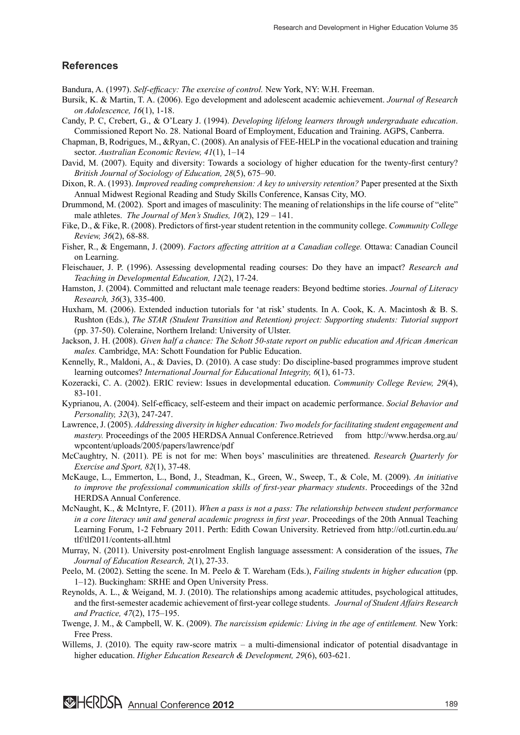#### **References**

Bandura, A. (1997). *Self-efficacy: The exercise of control.* New York, NY: W.H. Freeman.

- Bursik, K. & Martin, T. A. (2006). Ego development and adolescent academic achievement. *Journal of Research on Adolescence, 16*(1), 1-18.
- Candy, P. C, Crebert, G., & O'Leary J. (1994). *Developing lifelong learners through undergraduate education*. Commissioned Report No. 28. National Board of Employment, Education and Training. AGPS, Canberra.
- Chapman, B, Rodrigues, M., &Ryan, C. (2008). An analysis of FEE-HELP in the vocational education and training sector. *Australian Economic Review, 41*(1), 1–14
- David, M. (2007). Equity and diversity: Towards a sociology of higher education for the twenty-first century? *British Journal of Sociology of Education, 28*(5), 675–90.
- Dixon, R. A. (1993). *Improved reading comprehension: A key to university retention?* Paper presented at the Sixth Annual Midwest Regional Reading and Study Skills Conference, Kansas City, MO.
- Drummond, M. (2002). Sport and images of masculinity: The meaning of relationships in the life course of "elite" male athletes. *The Journal of Men's Studies, 10*(2), 129 – 141.
- Fike, D., & Fike, R. (2008). Predictors of first-year student retention in the community college. *Community College Review, 36*(2), 68-88.
- Fisher, R., & Engemann, J. (2009). *Factors affecting attrition at a Canadian college.* Ottawa: Canadian Council on Learning.
- Fleischauer, J. P. (1996). Assessing developmental reading courses: Do they have an impact? *Research and Teaching in Developmental Education, 12*(2), 17-24.
- Hamston, J. (2004). Committed and reluctant male teenage readers: Beyond bedtime stories. *Journal of Literacy Research, 36*(3), 335-400.
- Huxham, M. (2006). Extended induction tutorials for 'at risk' students. In A. Cook, K. A. Macintosh & B. S. Rushton (Eds.), *The STAR (Student Transition and Retention) project: Supporting students: Tutorial support* (pp. 37-50). Coleraine, Northern Ireland: University of Ulster.
- Jackson, J. H. (2008). *Given half a chance: The Schott 50-state report on public education and African American males.* Cambridge, MA: Schott Foundation for Public Education.
- Kennelly, R., Maldoni, A., & Davies, D. (2010). A case study: Do discipline-based programmes improve student learning outcomes? *International Journal for Educational Integrity, 6*(1), 61-73.
- Kozeracki, C. A. (2002). ERIC review: Issues in developmental education. *Community College Review, 29*(4), 83-101.
- Kyprianou, A. (2004). Self-efficacy, self-esteem and their impact on academic performance. *Social Behavior and Personality, 32*(3), 247-247.
- Lawrence, J. (2005). *Addressing diversity in higher education: Two models for facilitating student engagement and mastery.* Proceedings of the 2005 HERDSA Annual Conference.Retrieved from http://www.herdsa.org.au/ wpcontent/uploads/2005/papers/lawrence/pdf
- McCaughtry, N. (2011). PE is not for me: When boys' masculinities are threatened. *Research Quarterly for Exercise and Sport, 82*(1), 37-48.
- McKauge, L., Emmerton, L., Bond, J., Steadman, K., Green, W., Sweep, T., & Cole, M. (2009). *An initiative to improve the professional communication skills of first-year pharmacy students*. Proceedings of the 32nd HERDSA Annual Conference.
- McNaught, K., & McIntyre, F. (2011). *When a pass is not a pass: The relationship between student performance in a core literacy unit and general academic progress in first year*. Proceedings of the 20th Annual Teaching Learning Forum, 1-2 February 2011. Perth: Edith Cowan University. Retrieved from http://otl.curtin.edu.au/ tlf/tlf2011/contents-all.html
- Murray, N. (2011). University post-enrolment English language assessment: A consideration of the issues, *The Journal of Education Research, 2*(1), 27-33.
- Peelo, M. (2002). Setting the scene. In M. Peelo & T. Wareham (Eds.), *Failing students in higher education* (pp. 1–12). Buckingham: SRHE and Open University Press.
- Reynolds, A. L., & Weigand, M. J. (2010). The relationships among academic attitudes, psychological attitudes, and the first-semester academic achievement of first-year college students. *Journal of Student Affairs Research and Practice, 47*(2), 175–195.
- Twenge, J. M., & Campbell, W. K. (2009). *The narcissism epidemic: Living in the age of entitlement.* New York: Free Press.
- Willems, J. (2010). The equity raw-score matrix  $-$  a multi-dimensional indicator of potential disadvantage in higher education. *Higher Education Research & Development, 29*(6), 603-621.